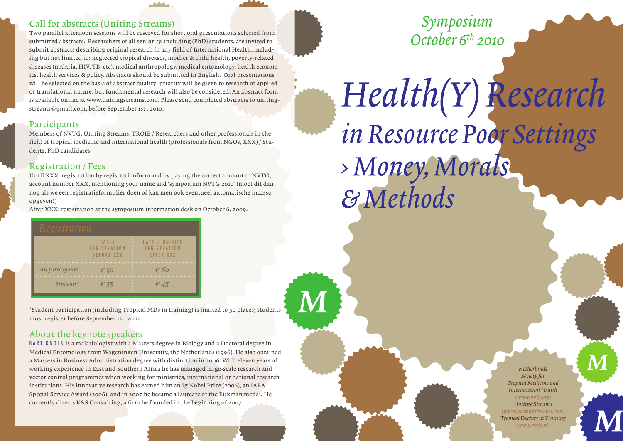### Call for abstracts (Uniting Streams)

Two parallel afternoon sessions will be reserved for short oral presentations selected from submitted abstracts. Researchers of all seniority, including (PhD) students, are invited to submit abstracts describing original research in any field of International Health, including but not limited to: neglected tropical diseases, mother & child health, poverty-related diseases (malaria, HIV, TB, etc), medical anthropology, medical entomology, health economics, health services & policy. Abstracts should be submitted in English. Oral presentations will be selected on the basis of abstract quality; priority will be given to research of applied or translational nature, but fundamental research will also be considered. An abstract form is available online at www.unitingstreams.com. Please send completed abstracts to unitingstreams@gmail.com, before September 1st , 2010.

#### Participants

Members of NVTG, Uniting Streams, TROIE / Researchers and other professionals in the field of tropical medicine and international health (professionals from NGOs, XXX) / Students, PhD candidates

### Registration / Fees

Until XXX: registration by registrationform and by paying the correct amount to NVTG, account number XXX, mentioning your name and 'symposium NVTG 2010' (moet dit dan nog als we een registratieformulier doen of kan men ook eventueel automatische incasso opgeven?)

After XXX: registration at the symposium information desk on October 6, 2009.

| Registration     |                                                   |                                                    |  |  |
|------------------|---------------------------------------------------|----------------------------------------------------|--|--|
|                  | EARLY<br><b>REGISTRATION</b><br><b>BEFORE XXX</b> | LATE / ON-SITE<br><b>REGISTRATION</b><br>AFTER XXX |  |  |
| All participants | € 50                                              | € 60                                               |  |  |
| $Students*$      | $\epsilon$ 35                                     | $\epsilon$ 45                                      |  |  |

\*Student participation (including Tropical MDs in training) is limited to 50 places; students must register before September 1st, 2010.

M

## About the keynote speakers

BART KNOLS is a malariologist with a Masters degree in Biology and a Doctoral degree in Medical Entomology from Wageningen University, the Netherlands (1996). He also obtained a Masters in Business Administration degree with distinction in 2006. With eleven years of working experience in East and Southern Africa he has managed large-scale research and vector control programmes when working for ministries, international or national research institutions. His innovative research has earned him an Ig Nobel Prize (2006), an IAEA Special Service Award (2006), and in 2007 he became a laureate of the Eijkman medal. He currently directs K&S Consulting, a firm he founded in the beginning of 2007.

Symposium October  $6<sup>th</sup>$  2010

# Health(Y) Research in Resource Poor Settings > Money, Morals & Methods

*Netherlands Society for Tropical Medicine and International Health (www.nvtg.org) Uniting Streams (www.unitingstreams.com) Tropical Doctors in Training*